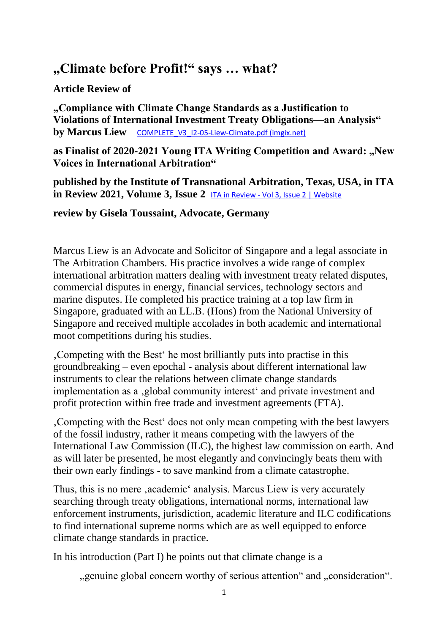## **"Climate before Profit!" says … what?**

## **Article Review of**

**"Compliance with Climate Change Standards as a Justification to Violations of International Investment Treaty Obligations—an Analysis" by Marcus Liew** COMPLETE V3 I2-05-Liew-Climate.pdf (imgix.net)

as Finalist of 2020-2021 Young ITA Writing Competition and Award: "New **Voices in International Arbitration"**

**published by the Institute of Transnational Arbitration, Texas, USA, in ITA in Review 2021, Volume 3, Issue 2** ITA in Review - [Vol 3, Issue 2 | Website](https://itainreview.org/issues/2021/fall-2021.html)

## **review by Gisela Toussaint, Advocate, Germany**

Marcus Liew is an Advocate and Solicitor of Singapore and a legal associate in The Arbitration Chambers. His practice involves a wide range of complex international arbitration matters dealing with investment treaty related disputes, commercial disputes in energy, financial services, technology sectors and marine disputes. He completed his practice training at a top law firm in Singapore, graduated with an LL.B. (Hons) from the National University of Singapore and received multiple accolades in both academic and international moot competitions during his studies.

'Competing with the Best' he most brilliantly puts into practise in this groundbreaking – even epochal - analysis about different international law instruments to clear the relations between climate change standards implementation as a , global community interest and private investment and profit protection within free trade and investment agreements (FTA).

'Competing with the Best' does not only mean competing with the best lawyers of the fossil industry, rather it means competing with the lawyers of the International Law Commission (ILC), the highest law commission on earth. And as will later be presented, he most elegantly and convincingly beats them with their own early findings - to save mankind from a climate catastrophe.

Thus, this is no mere, academic' analysis. Marcus Liew is very accurately searching through treaty obligations, international norms, international law enforcement instruments, jurisdiction, academic literature and ILC codifications to find international supreme norms which are as well equipped to enforce climate change standards in practice.

In his introduction (Part I) he points out that climate change is a

", genuine global concern worthy of serious attention" and ".consideration".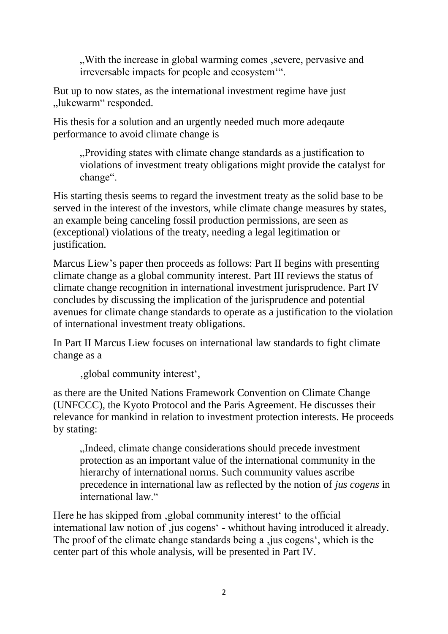"With the increase in global warming comes, severe, pervasive and irreversable impacts for people and ecosystem'".

But up to now states, as the international investment regime have just ..lukewarm" responded.

His thesis for a solution and an urgently needed much more adeqaute performance to avoid climate change is

"Providing states with climate change standards as a justification to violations of investment treaty obligations might provide the catalyst for change".

His starting thesis seems to regard the investment treaty as the solid base to be served in the interest of the investors, while climate change measures by states, an example being canceling fossil production permissions, are seen as (exceptional) violations of the treaty, needing a legal legitimation or justification.

Marcus Liew's paper then proceeds as follows: Part II begins with presenting climate change as a global community interest. Part III reviews the status of climate change recognition in international investment jurisprudence. Part IV concludes by discussing the implication of the jurisprudence and potential avenues for climate change standards to operate as a justification to the violation of international investment treaty obligations.

In Part II Marcus Liew focuses on international law standards to fight climate change as a

'global community interest',

as there are the United Nations Framework Convention on Climate Change (UNFCCC), the Kyoto Protocol and the Paris Agreement. He discusses their relevance for mankind in relation to investment protection interests. He proceeds by stating:

"Indeed, climate change considerations should precede investment protection as an important value of the international community in the hierarchy of international norms. Such community values ascribe precedence in international law as reflected by the notion of *jus cogens* in international law."

Here he has skipped from , global community interest to the official international law notion of , jus cogens' - whithout having introduced it already. The proof of the climate change standards being a , jus cogens', which is the center part of this whole analysis, will be presented in Part IV.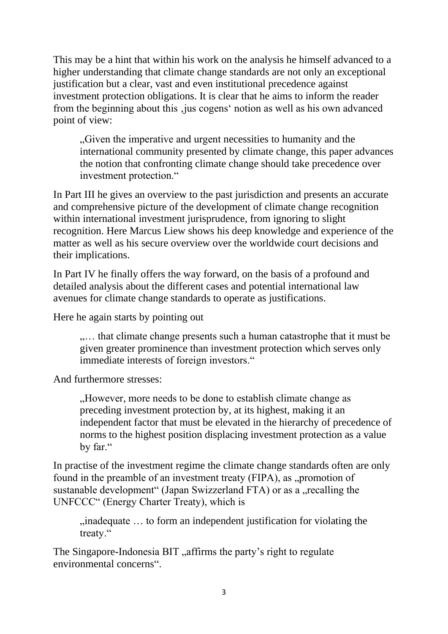This may be a hint that within his work on the analysis he himself advanced to a higher understanding that climate change standards are not only an exceptional justification but a clear, vast and even institutional precedence against investment protection obligations. It is clear that he aims to inform the reader from the beginning about this , jus cogens' notion as well as his own advanced point of view:

"Given the imperative and urgent necessities to humanity and the international community presented by climate change, this paper advances the notion that confronting climate change should take precedence over investment protection."

In Part III he gives an overview to the past jurisdiction and presents an accurate and comprehensive picture of the development of climate change recognition within international investment jurisprudence, from ignoring to slight recognition. Here Marcus Liew shows his deep knowledge and experience of the matter as well as his secure overview over the worldwide court decisions and their implications.

In Part IV he finally offers the way forward, on the basis of a profound and detailed analysis about the different cases and potential international law avenues for climate change standards to operate as justifications.

Here he again starts by pointing out

.... that climate change presents such a human catastrophe that it must be given greater prominence than investment protection which serves only immediate interests of foreign investors."

And furthermore stresses:

..., However, more needs to be done to establish climate change as preceding investment protection by, at its highest, making it an independent factor that must be elevated in the hierarchy of precedence of norms to the highest position displacing investment protection as a value by far."

In practise of the investment regime the climate change standards often are only found in the preamble of an investment treaty (FIPA), as "promotion of sustanable development" (Japan Swizzerland FTA) or as a "recalling the UNFCCC" (Energy Charter Treaty), which is

 $n_{ij}$  inadequate  $\dots$  to form an independent justification for violating the treaty."

The Singapore-Indonesia BIT, affirms the party's right to regulate environmental concerns".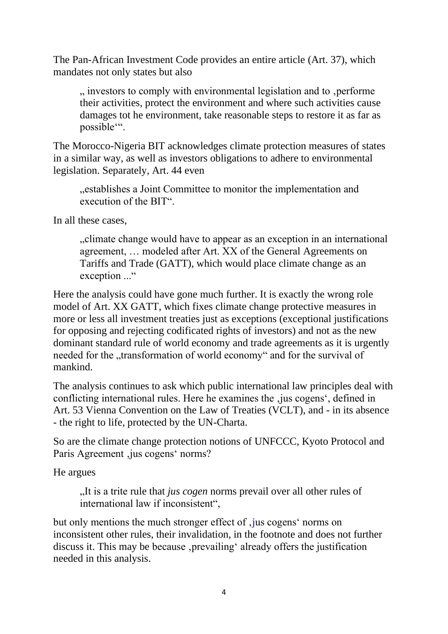The Pan-African Investment Code provides an entire article (Art. 37), which mandates not only states but also

", investors to comply with environmental legislation and to , performe", their activities, protect the environment and where such activities cause damages tot he environment, take reasonable steps to restore it as far as possible'".

The Morocco-Nigeria BIT acknowledges climate protection measures of states in a similar way, as well as investors obligations to adhere to environmental legislation. Separately, Art. 44 even

"establishes a Joint Committee to monitor the implementation and execution of the BIT".

In all these cases,

"climate change would have to appear as an exception in an international agreement, … modeled after Art. XX of the General Agreements on Tariffs and Trade (GATT), which would place climate change as an exception ..."

Here the analysis could have gone much further. It is exactly the wrong role model of Art. XX GATT, which fixes climate change protective measures in more or less all investment treaties just as exceptions (exceptional justifications for opposing and rejecting codificated rights of investors) and not as the new dominant standard rule of world economy and trade agreements as it is urgently needed for the "transformation of world economy" and for the survival of mankind.

The analysis continues to ask which public international law principles deal with conflicting international rules. Here he examines the , jus cogens', defined in Art. 53 Vienna Convention on the Law of Treaties (VCLT), and - in its absence - the right to life, protected by the UN-Charta.

So are the climate change protection notions of UNFCCC, Kyoto Protocol and Paris Agreement, jus cogens' norms?

He argues

...It is a trite rule that *jus cogen* norms prevail over all other rules of international law if inconsistent",

but only mentions the much stronger effect of, jus cogens' norms on inconsistent other rules, their invalidation, in the footnote and does not further discuss it. This may be because, prevailing' already offers the justification needed in this analysis.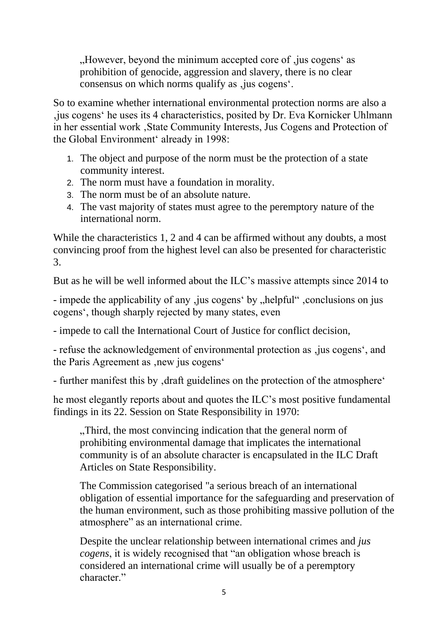"However, beyond the minimum accepted core of , jus cogens' as prohibition of genocide, aggression and slavery, there is no clear consensus on which norms qualify as , jus cogens'.

So to examine whether international environmental protection norms are also a 'jus cogens' he uses its 4 characteristics, posited by Dr. Eva Kornicker Uhlmann in her essential work, State Community Interests, Jus Cogens and Protection of the Global Environment' already in 1998:

- 1. The object and purpose of the norm must be the protection of a state community interest.
- 2. The norm must have a foundation in morality.
- 3. The norm must be of an absolute nature.
- 4. The vast majority of states must agree to the peremptory nature of the international norm.

While the characteristics 1, 2 and 4 can be affirmed without any doubts, a most convincing proof from the highest level can also be presented for characteristic 3.

But as he will be well informed about the ILC's massive attempts since 2014 to

- impede the applicability of any , jus cogens' by "helpful" , conclusions on jus cogens', though sharply rejected by many states, even

- impede to call the International Court of Justice for conflict decision,

- refuse the acknowledgement of environmental protection as , jus cogens', and the Paris Agreement as , new jus cogens'

- further manifest this by, draft guidelines on the protection of the atmosphere'

he most elegantly reports about and quotes the ILC's most positive fundamental findings in its 22. Session on State Responsibility in 1970:

"Third, the most convincing indication that the general norm of prohibiting environmental damage that implicates the international community is of an absolute character is encapsulated in the ILC Draft Articles on State Responsibility.

The Commission categorised "a serious breach of an international obligation of essential importance for the safeguarding and preservation of the human environment, such as those prohibiting massive pollution of the atmosphere" as an international crime.

Despite the unclear relationship between international crimes and *jus cogens*, it is widely recognised that "an obligation whose breach is considered an international crime will usually be of a peremptory character."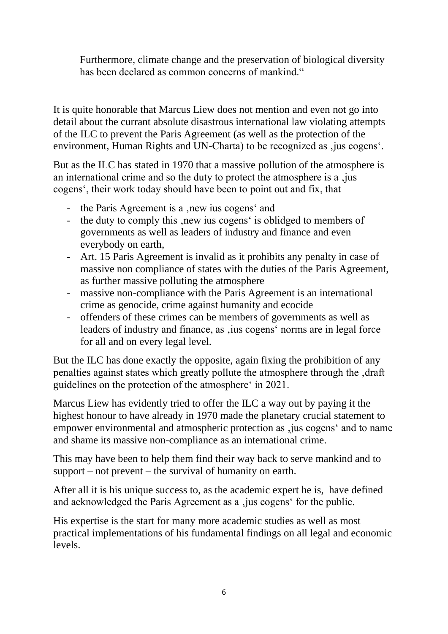Furthermore, climate change and the preservation of biological diversity has been declared as common concerns of mankind."

It is quite honorable that Marcus Liew does not mention and even not go into detail about the currant absolute disastrous international law violating attempts of the ILC to prevent the Paris Agreement (as well as the protection of the environment, Human Rights and UN-Charta) to be recognized as , jus cogens'.

But as the ILC has stated in 1970 that a massive pollution of the atmosphere is an international crime and so the duty to protect the atmosphere is a , jus cogens', their work today should have been to point out and fix, that

- the Paris Agreement is a , new ius cogens' and
- the duty to comply this , new ius cogens' is oblidged to members of governments as well as leaders of industry and finance and even everybody on earth,
- Art. 15 Paris Agreement is invalid as it prohibits any penalty in case of massive non compliance of states with the duties of the Paris Agreement, as further massive polluting the atmosphere
- massive non-compliance with the Paris Agreement is an international crime as genocide, crime against humanity and ecocide
- offenders of these crimes can be members of governments as well as leaders of industry and finance, as , ius cogens' norms are in legal force for all and on every legal level.

But the ILC has done exactly the opposite, again fixing the prohibition of any penalties against states which greatly pollute the atmosphere through the , draft guidelines on the protection of the atmosphere' in 2021.

Marcus Liew has evidently tried to offer the ILC a way out by paying it the highest honour to have already in 1970 made the planetary crucial statement to empower environmental and atmospheric protection as , jus cogens' and to name and shame its massive non-compliance as an international crime.

This may have been to help them find their way back to serve mankind and to support – not prevent – the survival of humanity on earth.

After all it is his unique success to, as the academic expert he is, have defined and acknowledged the Paris Agreement as a , jus cogens' for the public.

His expertise is the start for many more academic studies as well as most practical implementations of his fundamental findings on all legal and economic levels.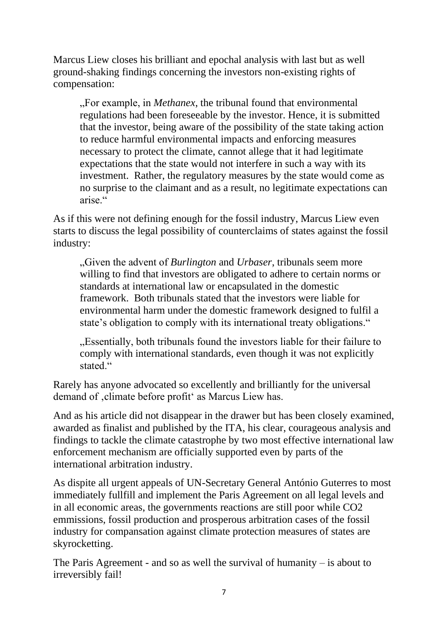Marcus Liew closes his brilliant and epochal analysis with last but as well ground-shaking findings concerning the investors non-existing rights of compensation:

"For example, in *Methanex*, the tribunal found that environmental regulations had been foreseeable by the investor. Hence, it is submitted that the investor, being aware of the possibility of the state taking action to reduce harmful environmental impacts and enforcing measures necessary to protect the climate, cannot allege that it had legitimate expectations that the state would not interfere in such a way with its investment. Rather, the regulatory measures by the state would come as no surprise to the claimant and as a result, no legitimate expectations can arise."

As if this were not defining enough for the fossil industry, Marcus Liew even starts to discuss the legal possibility of counterclaims of states against the fossil industry:

"Given the advent of *Burlington* and *Urbaser*, tribunals seem more willing to find that investors are obligated to adhere to certain norms or standards at international law or encapsulated in the domestic framework. Both tribunals stated that the investors were liable for environmental harm under the domestic framework designed to fulfil a state's obligation to comply with its international treaty obligations."

. Essentially, both tribunals found the investors liable for their failure to comply with international standards, even though it was not explicitly stated."

Rarely has anyone advocated so excellently and brilliantly for the universal demand of ,climate before profit' as Marcus Liew has.

And as his article did not disappear in the drawer but has been closely examined, awarded as finalist and published by the ITA, his clear, courageous analysis and findings to tackle the climate catastrophe by two most effective international law enforcement mechanism are officially supported even by parts of the international arbitration industry.

As dispite all urgent appeals of UN-Secretary General António Guterres to most immediately fullfill and implement the Paris Agreement on all legal levels and in all economic areas, the governments reactions are still poor while CO2 emmissions, fossil production and prosperous arbitration cases of the fossil industry for compansation against climate protection measures of states are skyrocketting.

The Paris Agreement - and so as well the survival of humanity  $-$  is about to irreversibly fail!